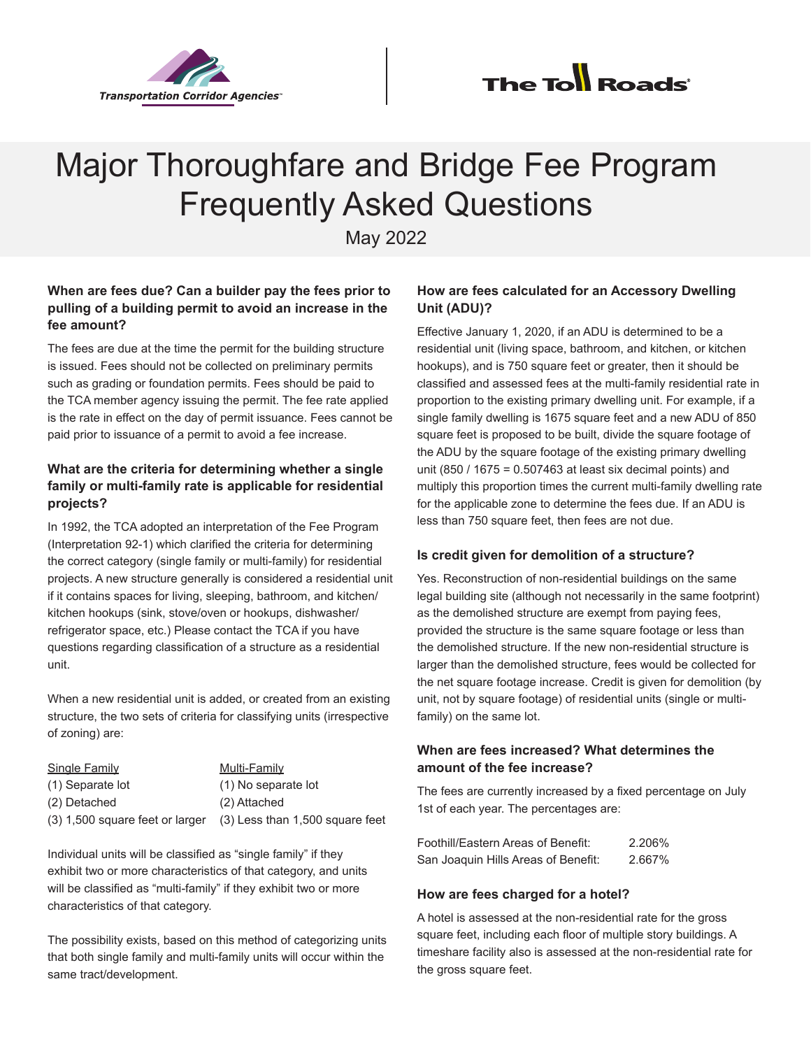



# Major Thoroughfare and Bridge Fee Program Frequently Asked Questions

May 2022

## **When are fees due? Can a builder pay the fees prior to pulling of a building permit to avoid an increase in the fee amount?**

The fees are due at the time the permit for the building structure is issued. Fees should not be collected on preliminary permits such as grading or foundation permits. Fees should be paid to the TCA member agency issuing the permit. The fee rate applied is the rate in effect on the day of permit issuance. Fees cannot be paid prior to issuance of a permit to avoid a fee increase.

# **What are the criteria for determining whether a single family or multi-family rate is applicable for residential projects?**

In 1992, the TCA adopted an interpretation of the Fee Program (Interpretation 92-1) which clarified the criteria for determining the correct category (single family or multi-family) for residential projects. A new structure generally is considered a residential unit if it contains spaces for living, sleeping, bathroom, and kitchen/ kitchen hookups (sink, stove/oven or hookups, dishwasher/ refrigerator space, etc.) Please contact the TCA if you have questions regarding classification of a structure as a residential unit.

When a new residential unit is added, or created from an existing structure, the two sets of criteria for classifying units (irrespective of zoning) are:

| <b>Single Family</b>              | Multi-Family                    |
|-----------------------------------|---------------------------------|
| (1) Separate lot                  | (1) No separate lot             |
| (2) Detached                      | (2) Attached                    |
| $(3)$ 1,500 square feet or larger | (3) Less than 1,500 square feet |

Individual units will be classified as "single family" if they exhibit two or more characteristics of that category, and units will be classified as "multi-family" if they exhibit two or more characteristics of that category.

The possibility exists, based on this method of categorizing units that both single family and multi-family units will occur within the same tract/development.

## **How are fees calculated for an Accessory Dwelling Unit (ADU)?**

Effective January 1, 2020, if an ADU is determined to be a residential unit (living space, bathroom, and kitchen, or kitchen hookups), and is 750 square feet or greater, then it should be classified and assessed fees at the multi-family residential rate in proportion to the existing primary dwelling unit. For example, if a single family dwelling is 1675 square feet and a new ADU of 850 square feet is proposed to be built, divide the square footage of the ADU by the square footage of the existing primary dwelling unit (850 / 1675 = 0.507463 at least six decimal points) and multiply this proportion times the current multi-family dwelling rate for the applicable zone to determine the fees due. If an ADU is less than 750 square feet, then fees are not due.

## **Is credit given for demolition of a structure?**

Yes. Reconstruction of non-residential buildings on the same legal building site (although not necessarily in the same footprint) as the demolished structure are exempt from paying fees, provided the structure is the same square footage or less than the demolished structure. If the new non-residential structure is larger than the demolished structure, fees would be collected for the net square footage increase. Credit is given for demolition (by unit, not by square footage) of residential units (single or multifamily) on the same lot.

## **When are fees increased? What determines the amount of the fee increase?**

The fees are currently increased by a fixed percentage on July 1st of each year. The percentages are:

| Foothill/Eastern Areas of Benefit:  | 2.206% |
|-------------------------------------|--------|
| San Joaquin Hills Areas of Benefit: | 2.667% |

## **How are fees charged for a hotel?**

A hotel is assessed at the non-residential rate for the gross square feet, including each floor of multiple story buildings. A timeshare facility also is assessed at the non-residential rate for the gross square feet.